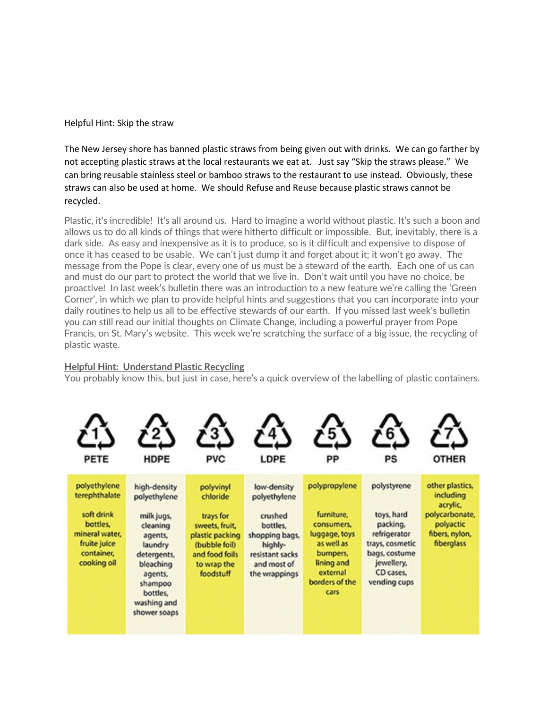Helpful Hint: Skip the straw

The New Jersey shore has banned plastic straws from being given out with drinks. We can go farther by not accepting plastic straws at the local restaurants we eat at. Just say "Skip the straws please." We can bring reusable stainless steel or bamboo straws to the restaurant to use instead. Obviously, these straws can also be used at home. We should Refuse and Reuse because plastic straws cannot be recycled.

Plastic, it's incredible! It's all around us. Hard to imagine a world without plastic. It's such a boon and allows us to do all kinds of things that were hitherto difficult or impossible. But, inevitably, there is a dark side. As easy and inexpensive as it is to produce, so is it difficult and expensive to dispose of once it has ceased to be usable. We can't just dump it and forget about it; it won't go away. The message from the Pope is clear, every one of us must be a steward of the earth. Each one of us can and must do our part to protect the world that we live in. Don't wait until you have no choice, be proactive! In last week's bulletin there was an introduction to a new feature we're calling the 'Green Corner', in which we plan to provide helpful hints and suggestions that you can incorporate into your daily routines to help us all to be effective stewards of our earth. If you missed last week's bulletin you can still read our initial thoughts on Climate Change, including a powerful prayer from Pope Francis, on St. Mary's website. This week we're scratching the surface of a big issue, the recycling of plastic waste.

#### **Helpful Hint: Understand Plastic Recycling**

You probably know this, but just in case, here's a quick overview of the labelling of plastic containers.

| <b>PETE</b>                                                                                                            | <b>HDPE</b>                                                                                                                                                               | <b>PVC</b>                                                                                                                             | LDPE                                                                                                                               | PP                                                                                                                                       | PS                                                                                                                                   | <b>OTHER</b>                                                                                            |
|------------------------------------------------------------------------------------------------------------------------|---------------------------------------------------------------------------------------------------------------------------------------------------------------------------|----------------------------------------------------------------------------------------------------------------------------------------|------------------------------------------------------------------------------------------------------------------------------------|------------------------------------------------------------------------------------------------------------------------------------------|--------------------------------------------------------------------------------------------------------------------------------------|---------------------------------------------------------------------------------------------------------|
| polyethylene<br>terephthalate<br>soft drink<br>bottles.<br>mineral water.<br>fruite juice<br>container,<br>cooking oil | high-density<br>polyethylene<br>milk jugs,<br>cleaning<br>agents,<br>laundry<br>detergents,<br>bleaching<br>agents,<br>shampoo<br>bottles,<br>washing and<br>shower soaps | polyvinyl<br>chloride<br>trays for<br>sweets, fruit,<br>plastic packing<br>(bubble foil)<br>and food foils<br>to wrap the<br>foodstuff | low-density<br>polyethylene<br>crushed<br>bottles,<br>shopping bags,<br>highly-<br>resistant sacks<br>and most of<br>the wrappings | polypropylene<br>furniture,<br>consumers,<br>luggage, toys<br>as well as<br>bumpers,<br>lining and<br>external<br>borders of the<br>cars | polystyrene<br>toys, hard<br>packing,<br>refrigerator<br>trays, cosmetic<br>bags, costume<br>jewellery,<br>CD cases.<br>vending cups | other plastics,<br>including<br>acrylic,<br>polycarbonate,<br>polyactic<br>fibers, nylon,<br>fiberglass |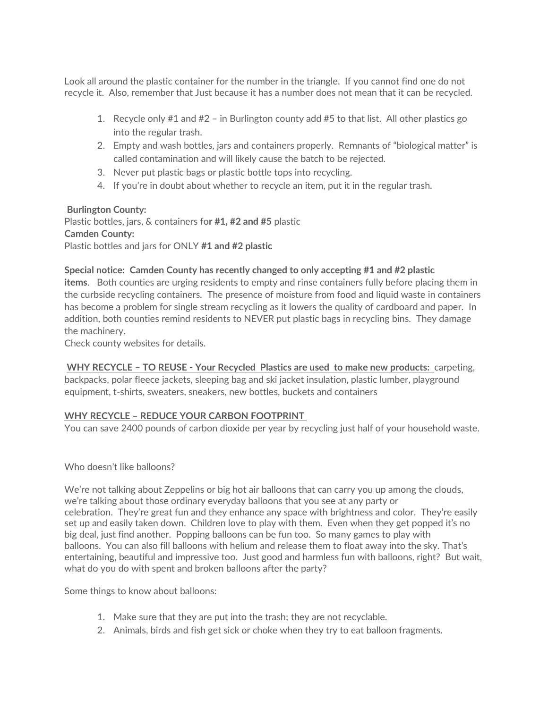Look all around the plastic container for the number in the triangle. If you cannot find one do not recycle it. Also, remember that Just because it has a number does not mean that it can be recycled.

- 1. Recycle only #1 and #2 in Burlington county add #5 to that list. All other plastics go into the regular trash.
- 2. Empty and wash bottles, jars and containers properly. Remnants of "biological matter" is called contamination and will likely cause the batch to be rejected.
- 3. Never put plastic bags or plastic bottle tops into recycling.
- 4. If you're in doubt about whether to recycle an item, put it in the regular trash.

## **Burlington County:**

Plastic bottles, jars, & containers fo**r #1, #2 and #5** plastic **Camden County:** Plastic bottles and jars for ONLY **#1 and #2 plastic**

### **Special notice: Camden County has recently changed to only accepting #1 and #2 plastic**

**items**. Both counties are urging residents to empty and rinse containers fully before placing them in the curbside recycling containers. The presence of moisture from food and liquid waste in containers has become a problem for single stream recycling as it lowers the quality of cardboard and paper. In addition, both counties remind residents to NEVER put plastic bags in recycling bins. They damage the machinery.

Check county websites for details.

**WHY RECYCLE – TO REUSE - Your Recycled Plastics are used to make new products:** carpeting, backpacks, polar fleece jackets, sleeping bag and ski jacket insulation, plastic lumber, playground equipment, t-shirts, sweaters, sneakers, new bottles, buckets and containers

## **WHY RECYCLE – REDUCE YOUR CARBON FOOTPRINT**

You can save 2400 pounds of carbon dioxide per year by recycling just half of your household waste.

#### Who doesn't like balloons?

We're not talking about Zeppelins or big hot air balloons that can carry you up among the clouds, we're talking about those ordinary everyday balloons that you see at any party or celebration. They're great fun and they enhance any space with brightness and color. They're easily set up and easily taken down. Children love to play with them. Even when they get popped it's no big deal, just find another. Popping balloons can be fun too. So many games to play with balloons. You can also fill balloons with helium and release them to float away into the sky. That's entertaining, beautiful and impressive too. Just good and harmless fun with balloons, right? But wait, what do you do with spent and broken balloons after the party?

Some things to know about balloons:

- 1. Make sure that they are put into the trash; they are not recyclable.
- 2. Animals, birds and fish get sick or choke when they try to eat balloon fragments.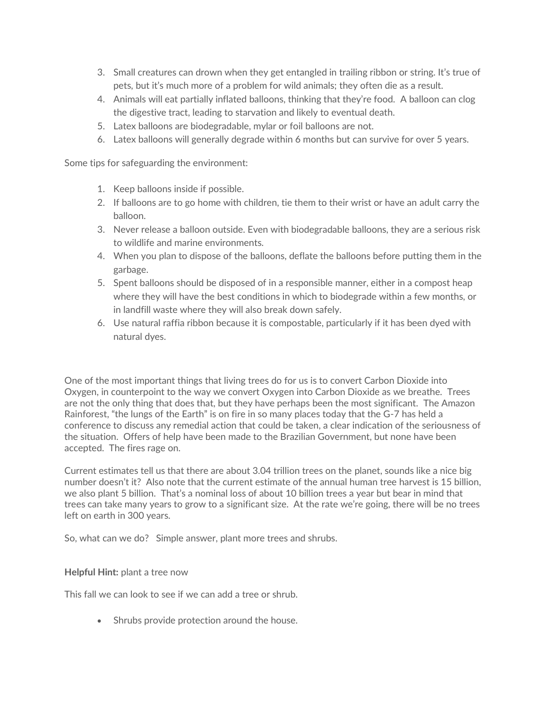- 3. Small creatures can drown when they get entangled in trailing ribbon or string. It's true of pets, but it's much more of a problem for wild animals; they often die as a result.
- 4. Animals will eat partially inflated balloons, thinking that they're food. A balloon can clog the digestive tract, leading to starvation and likely to eventual death.
- 5. Latex balloons are biodegradable, mylar or foil balloons are not.
- 6. Latex balloons will generally degrade within 6 months but can survive for over 5 years.

Some tips for safeguarding the environment:

- 1. Keep balloons inside if possible.
- 2. If balloons are to go home with children, tie them to their wrist or have an adult carry the balloon.
- 3. Never release a balloon outside. Even with biodegradable balloons, they are a serious risk to wildlife and marine environments.
- 4. When you plan to dispose of the balloons, deflate the balloons before putting them in the garbage.
- 5. Spent balloons should be disposed of in a responsible manner, either in a compost heap where they will have the best conditions in which to biodegrade within a few months, or in landfill waste where they will also break down safely.
- 6. Use natural raffia ribbon because it is compostable, particularly if it has been dyed with natural dyes.

One of the most important things that living trees do for us is to convert Carbon Dioxide into Oxygen, in counterpoint to the way we convert Oxygen into Carbon Dioxide as we breathe. Trees are not the only thing that does that, but they have perhaps been the most significant. The Amazon Rainforest, "the lungs of the Earth" is on fire in so many places today that the G-7 has held a conference to discuss any remedial action that could be taken, a clear indication of the seriousness of the situation. Offers of help have been made to the Brazilian Government, but none have been accepted. The fires rage on.

Current estimates tell us that there are about 3.04 trillion trees on the planet, sounds like a nice big number doesn't it? Also note that the current estimate of the annual human tree harvest is 15 billion, we also plant 5 billion. That's a nominal loss of about 10 billion trees a year but bear in mind that trees can take many years to grow to a significant size. At the rate we're going, there will be no trees left on earth in 300 years.

So, what can we do? Simple answer, plant more trees and shrubs.

#### **Helpful Hint:** plant a tree now

This fall we can look to see if we can add a tree or shrub.

• Shrubs provide protection around the house.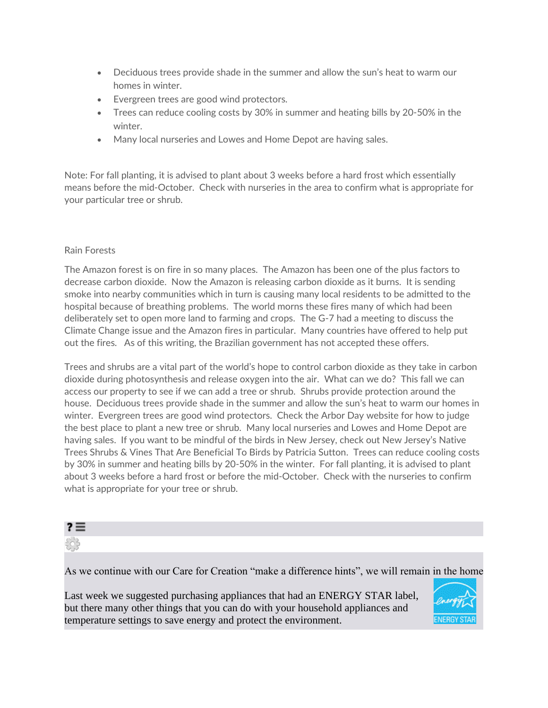- Deciduous trees provide shade in the summer and allow the sun's heat to warm our homes in winter.
- Evergreen trees are good wind protectors.
- Trees can reduce cooling costs by 30% in summer and heating bills by 20-50% in the winter.
- Many local nurseries and Lowes and Home Depot are having sales.

Note: For fall planting, it is advised to plant about 3 weeks before a hard frost which essentially means before the mid-October. Check with nurseries in the area to confirm what is appropriate for your particular tree or shrub.

#### Rain Forests

The Amazon forest is on fire in so many places. The Amazon has been one of the plus factors to decrease carbon dioxide. Now the Amazon is releasing carbon dioxide as it burns. It is sending smoke into nearby communities which in turn is causing many local residents to be admitted to the hospital because of breathing problems. The world morns these fires many of which had been deliberately set to open more land to farming and crops. The G-7 had a meeting to discuss the Climate Change issue and the Amazon fires in particular. Many countries have offered to help put out the fires. As of this writing, the Brazilian government has not accepted these offers.

Trees and shrubs are a vital part of the world's hope to control carbon dioxide as they take in carbon dioxide during photosynthesis and release oxygen into the air. What can we do? This fall we can access our property to see if we can add a tree or shrub. Shrubs provide protection around the house. Deciduous trees provide shade in the summer and allow the sun's heat to warm our homes in winter. Evergreen trees are good wind protectors. Check the Arbor Day website for how to judge the best place to plant a new tree or shrub. Many local nurseries and Lowes and Home Depot are having sales. If you want to be mindful of the birds in New Jersey, check out New Jersey's Native Trees Shrubs & Vines That Are Beneficial To Birds by Patricia Sutton. Trees can reduce cooling costs by 30% in summer and heating bills by 20-50% in the winter. For fall planting, it is advised to plant about 3 weeks before a hard frost or before the mid-October. Check with the nurseries to confirm what is appropriate for your tree or shrub.

| $r \equiv$ |  |  |
|------------|--|--|
| 츄          |  |  |
|            |  |  |

As we continue with our Care for Creation "make a difference hints", we will remain in the home.

Last week we suggested purchasing appliances that had an ENERGY STAR label, but there many other things that you can do with your household appliances and temperature settings to save energy and protect the environment.

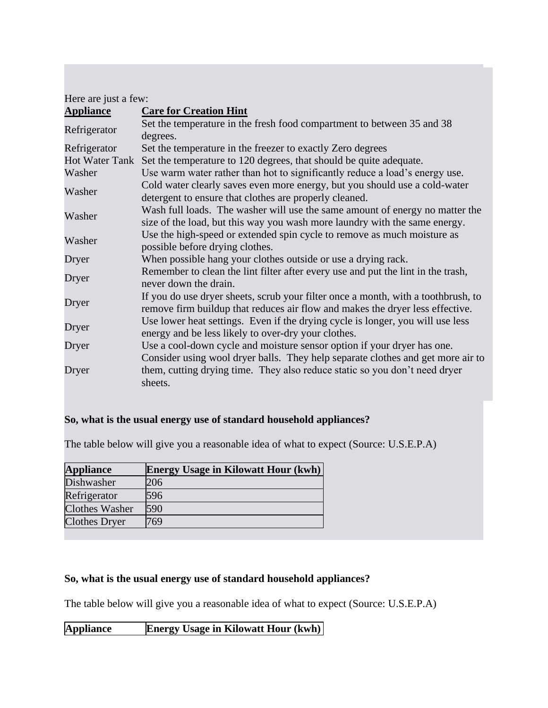| Here are just a few:  |                                                                                                                                                                          |
|-----------------------|--------------------------------------------------------------------------------------------------------------------------------------------------------------------------|
| <b>Appliance</b>      | <b>Care for Creation Hint</b>                                                                                                                                            |
| Refrigerator          | Set the temperature in the fresh food compartment to between 35 and 38<br>degrees.                                                                                       |
| Refrigerator          | Set the temperature in the freezer to exactly Zero degrees                                                                                                               |
| <b>Hot Water Tank</b> | Set the temperature to 120 degrees, that should be quite adequate.                                                                                                       |
| Washer                | Use warm water rather than hot to significantly reduce a load's energy use.                                                                                              |
| Washer                | Cold water clearly saves even more energy, but you should use a cold-water<br>detergent to ensure that clothes are properly cleaned.                                     |
| Washer                | Wash full loads. The washer will use the same amount of energy no matter the<br>size of the load, but this way you wash more laundry with the same energy.               |
| Washer                | Use the high-speed or extended spin cycle to remove as much moisture as<br>possible before drying clothes.                                                               |
| Dryer                 | When possible hang your clothes outside or use a drying rack.                                                                                                            |
| Dryer                 | Remember to clean the lint filter after every use and put the lint in the trash,<br>never down the drain.                                                                |
| Dryer                 | If you do use dryer sheets, scrub your filter once a month, with a toothbrush, to<br>remove firm buildup that reduces air flow and makes the dryer less effective.       |
| Dryer                 | Use lower heat settings. Even if the drying cycle is longer, you will use less<br>energy and be less likely to over-dry your clothes.                                    |
| Dryer                 | Use a cool-down cycle and moisture sensor option if your dryer has one.                                                                                                  |
| Dryer                 | Consider using wool dryer balls. They help separate clothes and get more air to<br>them, cutting drying time. They also reduce static so you don't need dryer<br>sheets. |

# **So, what is the usual energy use of standard household appliances?**

The table below will give you a reasonable idea of what to expect (Source: U.S.E.P.A)

| <b>Appliance</b>      | <b>Energy Usage in Kilowatt Hour (kwh)</b> |
|-----------------------|--------------------------------------------|
| Dishwasher            | 206                                        |
| Refrigerator          | 596                                        |
| <b>Clothes Washer</b> | 590                                        |
| <b>Clothes Dryer</b>  | 769                                        |

## **So, what is the usual energy use of standard household appliances?**

The table below will give you a reasonable idea of what to expect (Source: U.S.E.P.A)

**Appliance Energy Usage in Kilowatt Hour (kwh)**